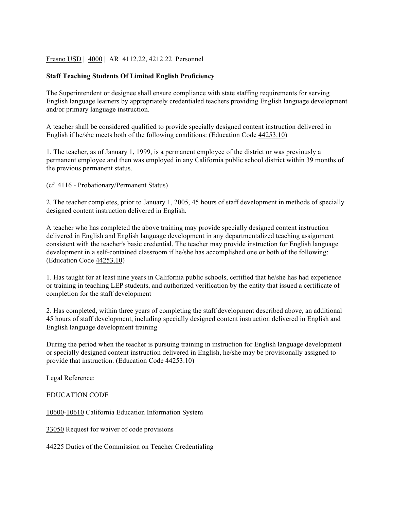## Fresno USD | 4000 | AR 4112.22, 4212.22 Personnel

## **Staff Teaching Students Of Limited English Proficiency**

The Superintendent or designee shall ensure compliance with state staffing requirements for serving English language learners by appropriately credentialed teachers providing English language development and/or primary language instruction.

A teacher shall be considered qualified to provide specially designed content instruction delivered in English if he/she meets both of the following conditions: (Education Code 44253.10)

1. The teacher, as of January 1, 1999, is a permanent employee of the district or was previously a permanent employee and then was employed in any California public school district within 39 months of the previous permanent status.

(cf. 4116 - Probationary/Permanent Status)

2. The teacher completes, prior to January 1, 2005, 45 hours of staff development in methods of specially designed content instruction delivered in English.

A teacher who has completed the above training may provide specially designed content instruction delivered in English and English language development in any departmentalized teaching assignment consistent with the teacher's basic credential. The teacher may provide instruction for English language development in a self-contained classroom if he/she has accomplished one or both of the following: (Education Code 44253.10)

1. Has taught for at least nine years in California public schools, certified that he/she has had experience or training in teaching LEP students, and authorized verification by the entity that issued a certificate of completion for the staff development

2. Has completed, within three years of completing the staff development described above, an additional 45 hours of staff development, including specially designed content instruction delivered in English and English language development training

During the period when the teacher is pursuing training in instruction for English language development or specially designed content instruction delivered in English, he/she may be provisionally assigned to provide that instruction. (Education Code 44253.10)

Legal Reference:

EDUCATION CODE

10600-10610 California Education Information System

33050 Request for waiver of code provisions

44225 Duties of the Commission on Teacher Credentialing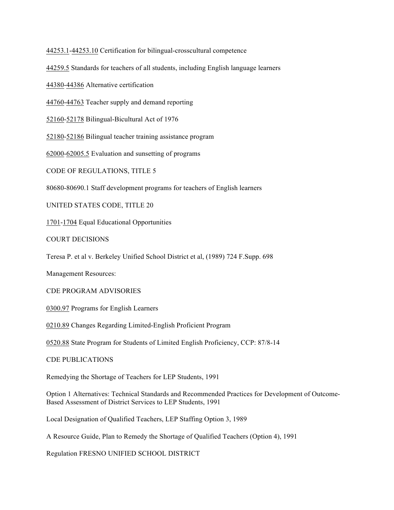44253.1-44253.10 Certification for bilingual-crosscultural competence

44259.5 Standards for teachers of all students, including English language learners

44380-44386 Alternative certification

44760-44763 Teacher supply and demand reporting

52160-52178 Bilingual-Bicultural Act of 1976

52180-52186 Bilingual teacher training assistance program

62000-62005.5 Evaluation and sunsetting of programs

CODE OF REGULATIONS, TITLE 5

80680-80690.1 Staff development programs for teachers of English learners

UNITED STATES CODE, TITLE 20

1701-1704 Equal Educational Opportunities

COURT DECISIONS

Teresa P. et al v. Berkeley Unified School District et al, (1989) 724 F.Supp. 698

Management Resources:

CDE PROGRAM ADVISORIES

0300.97 Programs for English Learners

0210.89 Changes Regarding Limited-English Proficient Program

0520.88 State Program for Students of Limited English Proficiency, CCP: 87/8-14

CDE PUBLICATIONS

Remedying the Shortage of Teachers for LEP Students, 1991

Option 1 Alternatives: Technical Standards and Recommended Practices for Development of Outcome-Based Assessment of District Services to LEP Students, 1991

Local Designation of Qualified Teachers, LEP Staffing Option 3, 1989

A Resource Guide, Plan to Remedy the Shortage of Qualified Teachers (Option 4), 1991

Regulation FRESNO UNIFIED SCHOOL DISTRICT